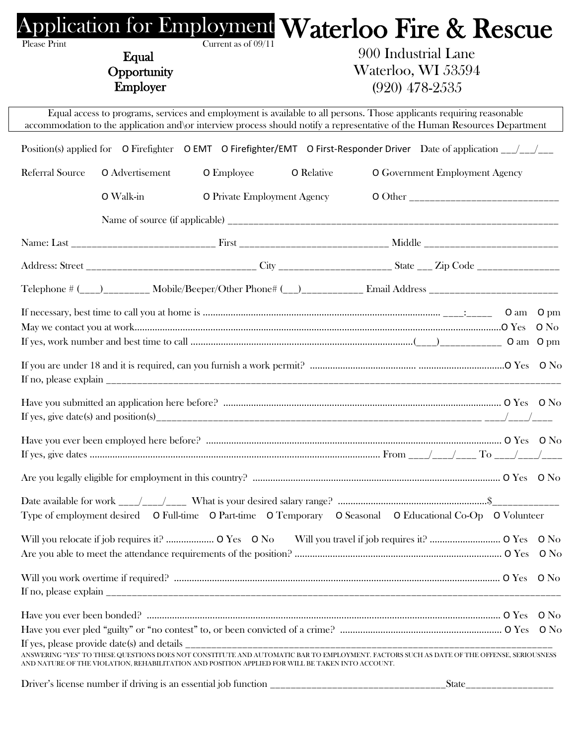| Please Print           | Equal<br>Opportunity<br>Employer | Current as of 09/11                                                                              | <b>Application for Employment Waterloo Fire &amp; Rescue</b><br>900 Industrial Lane<br>Waterloo, WI 53594<br>$(920)$ 478-2535                                                                                                                      |                          |  |
|------------------------|----------------------------------|--------------------------------------------------------------------------------------------------|----------------------------------------------------------------------------------------------------------------------------------------------------------------------------------------------------------------------------------------------------|--------------------------|--|
|                        |                                  |                                                                                                  | Equal access to programs, services and employment is available to all persons. Those applicants requiring reasonable<br>accommodation to the application and\or interview process should notify a representative of the Human Resources Department |                          |  |
|                        |                                  |                                                                                                  | Position(s) applied for O Firefighter O EMT O Firefighter/EMT O First-Responder Driver Date of application $\frac{1}{\sqrt{1-\frac{1}{n}}}$                                                                                                        |                          |  |
| <b>Referral Source</b> | O Advertisement                  | <b>O</b> Employee                                                                                | <b>O</b> Relative<br>O Government Employment Agency                                                                                                                                                                                                |                          |  |
|                        | O Walk-in                        | <b>O</b> Private Employment Agency                                                               |                                                                                                                                                                                                                                                    |                          |  |
|                        |                                  |                                                                                                  |                                                                                                                                                                                                                                                    |                          |  |
|                        |                                  |                                                                                                  |                                                                                                                                                                                                                                                    |                          |  |
|                        |                                  |                                                                                                  |                                                                                                                                                                                                                                                    |                          |  |
|                        |                                  |                                                                                                  | Telephone # (___)_________ Mobile/Beeper/Other Phone# (__)___________ Email Address _________________________                                                                                                                                      |                          |  |
|                        |                                  |                                                                                                  |                                                                                                                                                                                                                                                    |                          |  |
|                        |                                  |                                                                                                  |                                                                                                                                                                                                                                                    |                          |  |
|                        |                                  |                                                                                                  |                                                                                                                                                                                                                                                    |                          |  |
|                        |                                  |                                                                                                  |                                                                                                                                                                                                                                                    |                          |  |
|                        |                                  |                                                                                                  | Type of employment desired O Full-time O Part-time O Temporary O Seasonal O Educational Co-Op O Volunteer                                                                                                                                          |                          |  |
|                        |                                  |                                                                                                  |                                                                                                                                                                                                                                                    |                          |  |
|                        |                                  |                                                                                                  |                                                                                                                                                                                                                                                    |                          |  |
|                        |                                  |                                                                                                  |                                                                                                                                                                                                                                                    |                          |  |
|                        |                                  |                                                                                                  |                                                                                                                                                                                                                                                    |                          |  |
|                        |                                  |                                                                                                  |                                                                                                                                                                                                                                                    |                          |  |
|                        |                                  | AND NATURE OF THE VIOLATION, REHABILITATION AND POSITION APPLIED FOR WILL BE TAKEN INTO ACCOUNT. | ANSWERING "YES" TO THESE QUESTIONS DOES NOT CONSTITUTE AND AUTOMATIC BAR TO EMPLOYMENT. FACTORS SUCH AS DATE OF THE OFFENSE, SERIOUSNESS                                                                                                           |                          |  |
|                        |                                  |                                                                                                  |                                                                                                                                                                                                                                                    | State___________________ |  |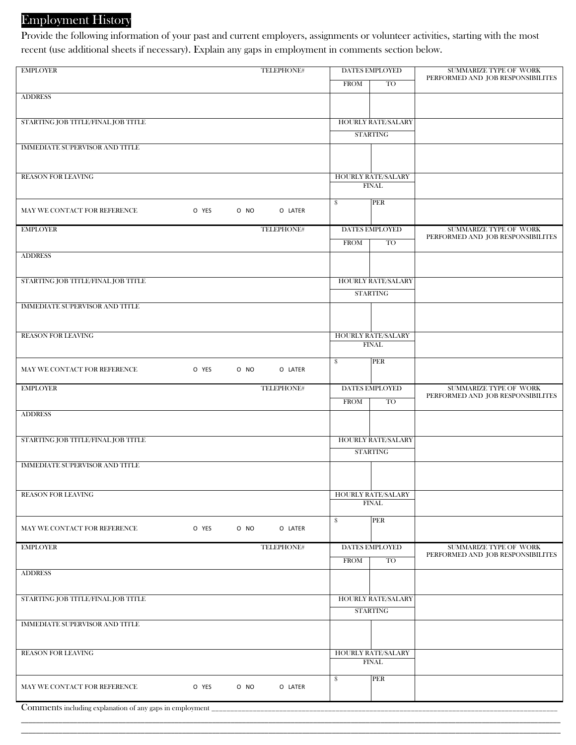# Employment History

Provide the following information of your past and current employers, assignments or volunteer activities, starting with the most recent (use additional sheets if necessary). Explain any gaps in employment in comments section below.

| <b>EMPLOYER</b>                                          |       |      | TELEPHONE# | <b>DATES EMPLOYED</b> |                                           | SUMMARIZE TYPE OF WORK                                             |  |
|----------------------------------------------------------|-------|------|------------|-----------------------|-------------------------------------------|--------------------------------------------------------------------|--|
|                                                          |       |      |            | <b>FROM</b>           | TO                                        | PERFORMED AND JOB RESPONSIBILITES                                  |  |
| <b>ADDRESS</b>                                           |       |      |            |                       |                                           |                                                                    |  |
|                                                          |       |      |            |                       |                                           |                                                                    |  |
| STARTING JOB TITLE/FINAL JOB TITLE                       |       |      |            |                       | <b>HOURLY RATE/SALARY</b>                 |                                                                    |  |
|                                                          |       |      |            |                       | <b>STARTING</b>                           |                                                                    |  |
| <b>IMMEDIATE SUPERVISOR AND TITLE</b>                    |       |      |            |                       |                                           |                                                                    |  |
|                                                          |       |      |            |                       |                                           |                                                                    |  |
|                                                          |       |      |            |                       |                                           |                                                                    |  |
| <b>REASON FOR LEAVING</b>                                |       |      |            |                       | <b>HOURLY RATE/SALARY</b><br><b>FINAL</b> |                                                                    |  |
|                                                          |       |      |            |                       |                                           |                                                                    |  |
| MAY WE CONTACT FOR REFERENCE                             | O YES | O NO | O LATER    | \$                    | PER                                       |                                                                    |  |
|                                                          |       |      |            |                       |                                           |                                                                    |  |
| <b>EMPLOYER</b>                                          |       |      | TELEPHONE# |                       | DATES EMPLOYED                            | SUMMARIZE TYPE OF WORK                                             |  |
|                                                          |       |      |            | <b>FROM</b>           | <b>TO</b>                                 | PERFORMED AND JOB RESPONSIBILITES                                  |  |
| <b>ADDRESS</b>                                           |       |      |            |                       |                                           |                                                                    |  |
|                                                          |       |      |            |                       |                                           |                                                                    |  |
| STARTING JOB TITLE/FINAL JOB TITLE                       |       |      |            |                       | <b>HOURLY RATE/SALARY</b>                 |                                                                    |  |
|                                                          |       |      |            |                       | <b>STARTING</b>                           |                                                                    |  |
| IMMEDIATE SUPERVISOR AND TITLE                           |       |      |            |                       |                                           |                                                                    |  |
|                                                          |       |      |            |                       |                                           |                                                                    |  |
|                                                          |       |      |            |                       |                                           |                                                                    |  |
| <b>REASON FOR LEAVING</b>                                |       |      |            |                       | <b>HOURLY RATE/SALARY</b><br><b>FINAL</b> |                                                                    |  |
|                                                          |       |      |            |                       |                                           |                                                                    |  |
| MAY WE CONTACT FOR REFERENCE                             | O YES | O NO | O LATER    | \$                    | PER                                       |                                                                    |  |
|                                                          |       |      |            |                       |                                           |                                                                    |  |
| <b>EMPLOYER</b>                                          |       |      | TELEPHONE# |                       | <b>DATES EMPLOYED</b>                     | SUMMARIZE TYPE OF WORK                                             |  |
|                                                          |       |      |            | <b>FROM</b>           | <b>TO</b>                                 | PERFORMED AND JOB RESPONSIBILITES                                  |  |
| <b>ADDRESS</b>                                           |       |      |            |                       |                                           |                                                                    |  |
|                                                          |       |      |            |                       |                                           |                                                                    |  |
| STARTING JOB TITLE/FINAL JOB TITLE                       |       |      |            |                       | <b>HOURLY RATE/SALARY</b>                 |                                                                    |  |
|                                                          |       |      |            |                       | <b>STARTING</b>                           |                                                                    |  |
| <b>IMMEDIATE SUPERVISOR AND TITLE</b>                    |       |      |            |                       |                                           |                                                                    |  |
|                                                          |       |      |            |                       |                                           |                                                                    |  |
|                                                          |       |      |            |                       |                                           |                                                                    |  |
| <b>REASON FOR LEAVING</b>                                |       |      |            |                       | <b>HOURLY RATE/SALARY</b><br><b>FINAL</b> |                                                                    |  |
|                                                          |       |      |            |                       |                                           |                                                                    |  |
| MAY WE CONTACT FOR REFERENCE                             | O YES | O NO | O LATER    | \$                    | PER                                       |                                                                    |  |
|                                                          |       |      |            |                       |                                           |                                                                    |  |
| <b>EMPLOYER</b>                                          |       |      | TELEPHONE# |                       | DATES EMPLOYED                            | <b>SUMMARIZE TYPE OF WORK</b><br>PERFORMED AND JOB RESPONSIBILITES |  |
|                                                          |       |      |            | <b>FROM</b>           | TO                                        |                                                                    |  |
| <b>ADDRESS</b>                                           |       |      |            |                       |                                           |                                                                    |  |
|                                                          |       |      |            |                       |                                           |                                                                    |  |
| STARTING JOB TITLE/FINAL JOB TITLE                       |       |      |            |                       | <b>HOURLY RATE/SALARY</b>                 |                                                                    |  |
|                                                          |       |      |            |                       | <b>STARTING</b>                           |                                                                    |  |
| IMMEDIATE SUPERVISOR AND TITLE                           |       |      |            |                       |                                           |                                                                    |  |
|                                                          |       |      |            |                       |                                           |                                                                    |  |
|                                                          |       |      |            |                       |                                           |                                                                    |  |
| <b>REASON FOR LEAVING</b>                                |       |      |            |                       | HOURLY RATE/SALARY<br><b>FINAL</b>        |                                                                    |  |
|                                                          |       |      |            |                       |                                           |                                                                    |  |
| MAY WE CONTACT FOR REFERENCE                             | O YES | O NO | O LATER    | $\mathcal{S}$         | PER                                       |                                                                    |  |
|                                                          |       |      |            |                       |                                           |                                                                    |  |
| Comments including explanation of any gaps in employment |       |      |            |                       |                                           |                                                                    |  |

\_\_\_\_\_\_\_\_\_\_\_\_\_\_\_\_\_\_\_\_\_\_\_\_\_\_\_\_\_\_\_\_\_\_\_\_\_\_\_\_\_\_\_\_\_\_\_\_\_\_\_\_\_\_\_\_\_\_\_\_\_\_\_\_\_\_\_\_\_\_\_\_\_\_\_\_\_\_\_\_\_\_\_\_\_\_\_\_\_\_\_\_\_\_\_\_\_\_\_\_\_\_\_\_\_\_\_\_\_\_\_\_\_\_\_\_\_\_\_\_\_\_\_\_\_\_\_\_\_\_\_\_\_\_\_\_\_\_\_\_\_\_\_\_ \_\_\_\_\_\_\_\_\_\_\_\_\_\_\_\_\_\_\_\_\_\_\_\_\_\_\_\_\_\_\_\_\_\_\_\_\_\_\_\_\_\_\_\_\_\_\_\_\_\_\_\_\_\_\_\_\_\_\_\_\_\_\_\_\_\_\_\_\_\_\_\_\_\_\_\_\_\_\_\_\_\_\_\_\_\_\_\_\_\_\_\_\_\_\_\_\_\_\_\_\_\_\_\_\_\_\_\_\_\_\_\_\_\_\_\_\_\_\_\_\_\_\_\_\_\_\_\_\_\_\_\_\_\_\_\_\_\_\_\_\_\_\_\_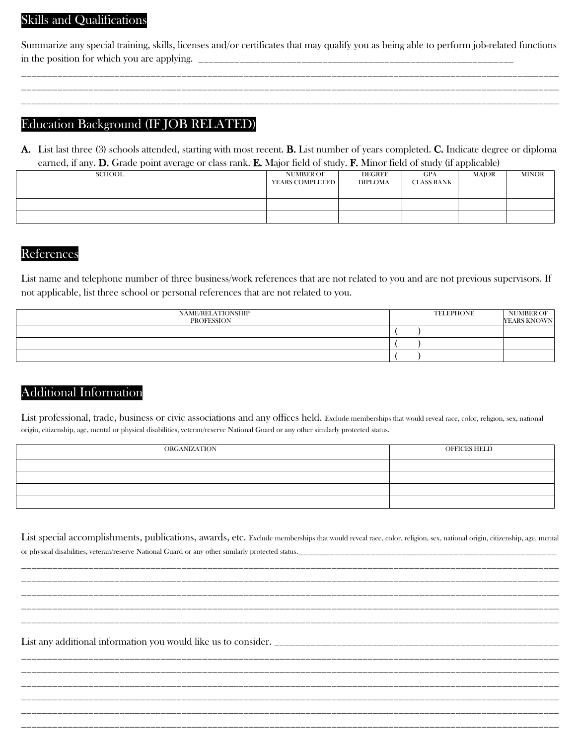## Skills and Qualifications

Summarize any special training, skills, licenses and/or certificates that may qualify you as being able to perform job-related functions in the position for which you are applying.

\_\_\_\_\_\_\_\_\_\_\_\_\_\_\_\_\_\_\_\_\_\_\_\_\_\_\_\_\_\_\_\_\_\_\_\_\_\_\_\_\_\_\_\_\_\_\_\_\_\_\_\_\_\_\_\_\_\_\_\_\_\_\_\_\_\_\_\_\_\_\_\_\_\_\_\_\_\_\_\_\_\_\_\_\_\_\_\_\_\_\_\_\_\_\_\_\_\_\_\_\_\_\_\_ \_\_\_\_\_\_\_\_\_\_\_\_\_\_\_\_\_\_\_\_\_\_\_\_\_\_\_\_\_\_\_\_\_\_\_\_\_\_\_\_\_\_\_\_\_\_\_\_\_\_\_\_\_\_\_\_\_\_\_\_\_\_\_\_\_\_\_\_\_\_\_\_\_\_\_\_\_\_\_\_\_\_\_\_\_\_\_\_\_\_\_\_\_\_\_\_\_\_\_\_\_\_\_\_ \_\_\_\_\_\_\_\_\_\_\_\_\_\_\_\_\_\_\_\_\_\_\_\_\_\_\_\_\_\_\_\_\_\_\_\_\_\_\_\_\_\_\_\_\_\_\_\_\_\_\_\_\_\_\_\_\_\_\_\_\_\_\_\_\_\_\_\_\_\_\_\_\_\_\_\_\_\_\_\_\_\_\_\_\_\_\_\_\_\_\_\_\_\_\_\_\_\_\_\_\_\_\_\_

### Education Background (IF JOB RELATED)

or physical disabilities, veteran/reserve National Guard or any other similarly protected status.

A. List last three (3) schools attended, starting with most recent. B. List number of years completed. C. Indicate degree or diploma earned, if any. D. Grade point average or class rank. E. Major field of study. F. Minor field of study (if applicable)

| .             | $\sim$                              |                                 | .<br>______       | $\ddot{\phantom{1}}$ |              |
|---------------|-------------------------------------|---------------------------------|-------------------|----------------------|--------------|
| <b>SCHOOL</b> | <b>NUMBER OF</b><br>YEARS COMPLETED | <b>DEGREE</b><br><b>DIPLOMA</b> | GPA<br>CLASS RANK | MAJOR                | <b>MINOR</b> |
|               |                                     |                                 |                   |                      |              |
|               |                                     |                                 |                   |                      |              |
|               |                                     |                                 |                   |                      |              |

#### References

List name and telephone number of three business/work references that are not related to you and are not previous supervisors. If not applicable, list three school or personal references that are not related to you.

| NAME/RELATIONSHIP<br>PROFESSION | <b>TELEPHONE</b> | NUMBER OF<br>YEARS KNOWN |
|---------------------------------|------------------|--------------------------|
|                                 |                  |                          |
|                                 |                  |                          |
|                                 |                  |                          |

## Additional Information

List professional, trade, business or civic associations and any offices held. Exclude memberships that would reveal race, color, religion, sex, national origin, citizenship, age, mental or physical disabilities, veteran/reserve National Guard or any other similarly protected status.

| ORGANIZATION | OFFICES HELD |
|--------------|--------------|
|              |              |
|              |              |
|              |              |
|              |              |

List special accomplishments, publications, awards, etc. Exclude memberships that would reveal race, color, religion, sex, national origin, citizenship, age, mental